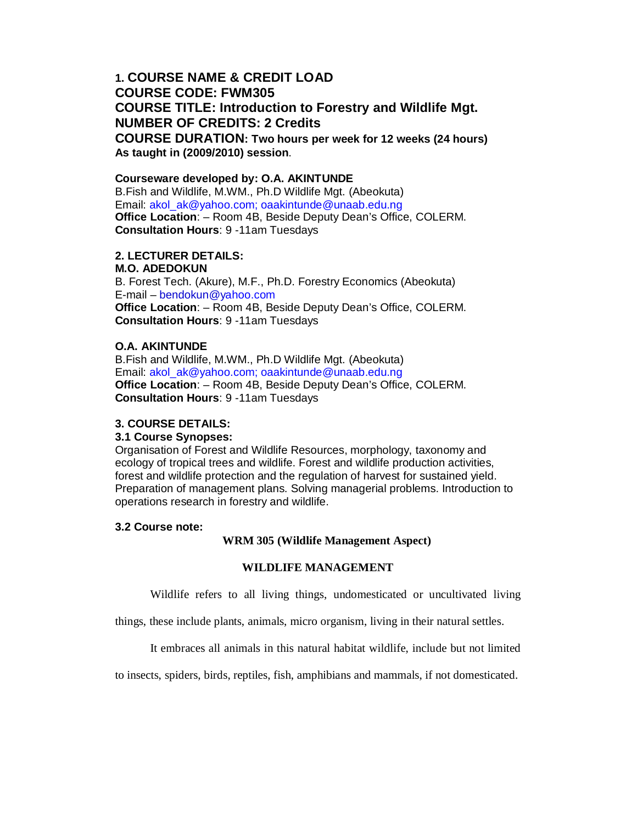# **1. COURSE NAME & CREDIT LOAD COURSE CODE: FWM305 COURSE TITLE: Introduction to Forestry and Wildlife Mgt. NUMBER OF CREDITS: 2 Credits COURSE DURATION: Two hours per week for 12 weeks (24 hours) As taught in (2009/2010) session**.

### **Courseware developed by: O.A. AKINTUNDE**

B.Fish and Wildlife, M.WM., Ph.D Wildlife Mgt. (Abeokuta) Email: akol\_ak@yahoo.com; oaakintunde@unaab.edu.ng **Office Location**: – Room 4B, Beside Deputy Dean's Office, COLERM. **Consultation Hours**: 9 -11am Tuesdays

# **2. LECTURER DETAILS:**

#### **M.O. ADEDOKUN**

B. Forest Tech. (Akure), M.F., Ph.D. Forestry Economics (Abeokuta) E-mail – bendokun@yahoo.com **Office Location**: – Room 4B, Beside Deputy Dean's Office, COLERM. **Consultation Hours**: 9 -11am Tuesdays

### **O.A. AKINTUNDE**

B.Fish and Wildlife, M.WM., Ph.D Wildlife Mgt. (Abeokuta) Email: akol\_ak@yahoo.com; oaakintunde@unaab.edu.ng **Office Location**: – Room 4B, Beside Deputy Dean's Office, COLERM. **Consultation Hours**: 9 -11am Tuesdays

#### **3. COURSE DETAILS:**

#### **3.1 Course Synopses:**

Organisation of Forest and Wildlife Resources, morphology, taxonomy and ecology of tropical trees and wildlife. Forest and wildlife production activities, forest and wildlife protection and the regulation of harvest for sustained yield. Preparation of management plans. Solving managerial problems. Introduction to operations research in forestry and wildlife.

#### **3.2 Course note:**

#### **WRM 305 (Wildlife Management Aspect)**

# **WILDLIFE MANAGEMENT**

Wildlife refers to all living things, undomesticated or uncultivated living

things, these include plants, animals, micro organism, living in their natural settles.

It embraces all animals in this natural habitat wildlife, include but not limited

to insects, spiders, birds, reptiles, fish, amphibians and mammals, if not domesticated.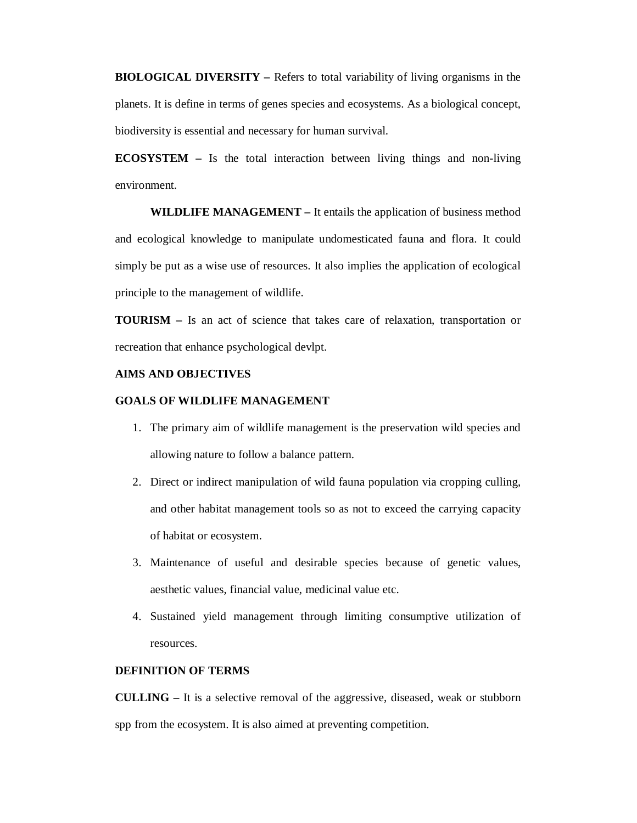**BIOLOGICAL DIVERSITY –** Refers to total variability of living organisms in the planets. It is define in terms of genes species and ecosystems. As a biological concept, biodiversity is essential and necessary for human survival.

**ECOSYSTEM –** Is the total interaction between living things and non-living environment.

**WILDLIFE MANAGEMENT –** It entails the application of business method and ecological knowledge to manipulate undomesticated fauna and flora. It could simply be put as a wise use of resources. It also implies the application of ecological principle to the management of wildlife.

**TOURISM –** Is an act of science that takes care of relaxation, transportation or recreation that enhance psychological devlpt.

### **AIMS AND OBJECTIVES**

### **GOALS OF WILDLIFE MANAGEMENT**

- 1. The primary aim of wildlife management is the preservation wild species and allowing nature to follow a balance pattern.
- 2. Direct or indirect manipulation of wild fauna population via cropping culling, and other habitat management tools so as not to exceed the carrying capacity of habitat or ecosystem.
- 3. Maintenance of useful and desirable species because of genetic values, aesthetic values, financial value, medicinal value etc.
- 4. Sustained yield management through limiting consumptive utilization of resources.

### **DEFINITION OF TERMS**

**CULLING –** It is a selective removal of the aggressive, diseased, weak or stubborn spp from the ecosystem. It is also aimed at preventing competition.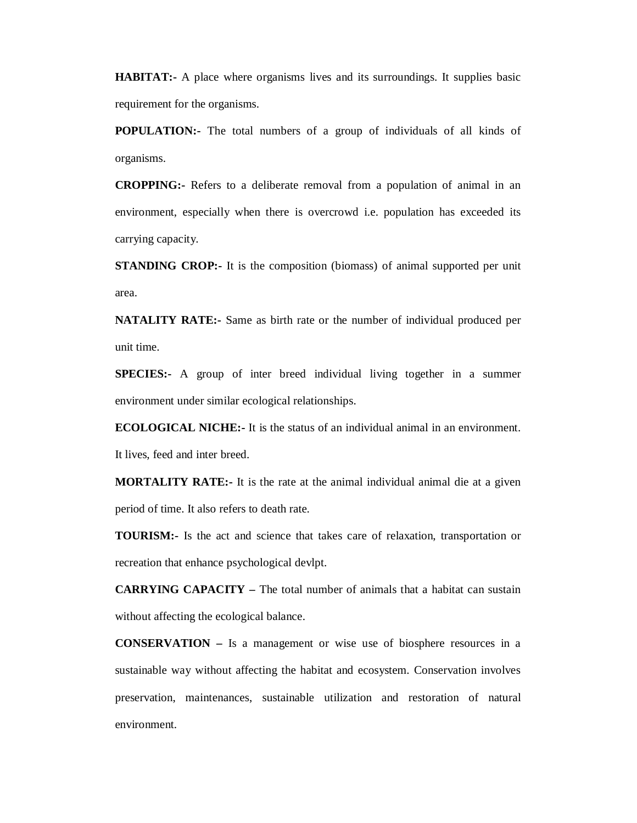**HABITAT:** A place where organisms lives and its surroundings. It supplies basic requirement for the organisms.

**POPULATION:-** The total numbers of a group of individuals of all kinds of organisms.

**CROPPING:-** Refers to a deliberate removal from a population of animal in an environment, especially when there is overcrowd i.e. population has exceeded its carrying capacity.

**STANDING CROP:**- It is the composition (biomass) of animal supported per unit area.

**NATALITY RATE:-** Same as birth rate or the number of individual produced per unit time.

**SPECIES:**- A group of inter breed individual living together in a summer environment under similar ecological relationships.

**ECOLOGICAL NICHE:-** It is the status of an individual animal in an environment.

It lives, feed and inter breed.

**MORTALITY RATE:-** It is the rate at the animal individual animal die at a given period of time. It also refers to death rate.

**TOURISM:-** Is the act and science that takes care of relaxation, transportation or recreation that enhance psychological devlpt.

**CARRYING CAPACITY –** The total number of animals that a habitat can sustain without affecting the ecological balance.

**CONSERVATION –** Is a management or wise use of biosphere resources in a sustainable way without affecting the habitat and ecosystem. Conservation involves preservation, maintenances, sustainable utilization and restoration of natural environment.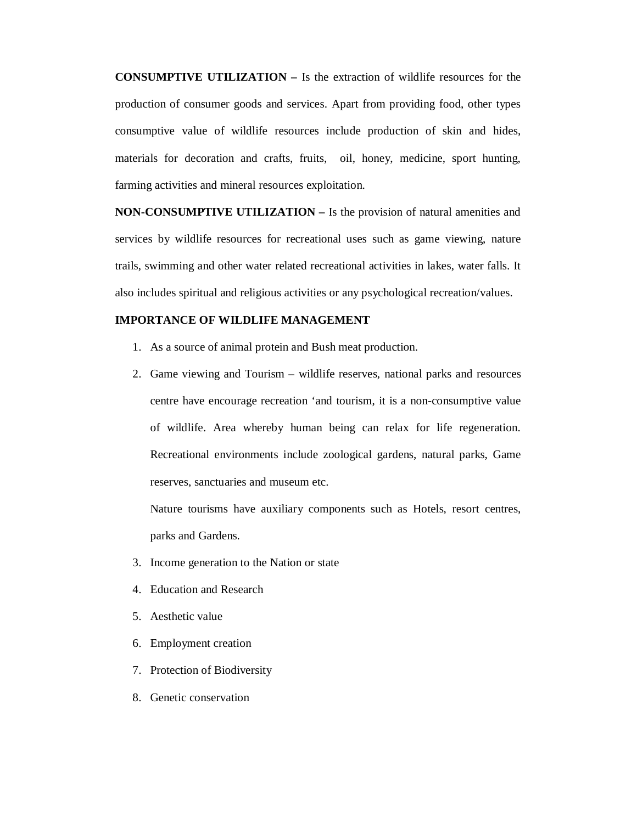**CONSUMPTIVE UTILIZATION –** Is the extraction of wildlife resources for the production of consumer goods and services. Apart from providing food, other types consumptive value of wildlife resources include production of skin and hides, materials for decoration and crafts, fruits, oil, honey, medicine, sport hunting, farming activities and mineral resources exploitation.

**NON-CONSUMPTIVE UTILIZATION –** Is the provision of natural amenities and services by wildlife resources for recreational uses such as game viewing, nature trails, swimming and other water related recreational activities in lakes, water falls. It also includes spiritual and religious activities or any psychological recreation/values.

# **IMPORTANCE OF WILDLIFE MANAGEMENT**

- 1. As a source of animal protein and Bush meat production.
- 2. Game viewing and Tourism wildlife reserves, national parks and resources centre have encourage recreation 'and tourism, it is a non-consumptive value of wildlife. Area whereby human being can relax for life regeneration. Recreational environments include zoological gardens, natural parks, Game reserves, sanctuaries and museum etc.

Nature tourisms have auxiliary components such as Hotels, resort centres, parks and Gardens.

- 3. Income generation to the Nation or state
- 4. Education and Research
- 5. Aesthetic value
- 6. Employment creation
- 7. Protection of Biodiversity
- 8. Genetic conservation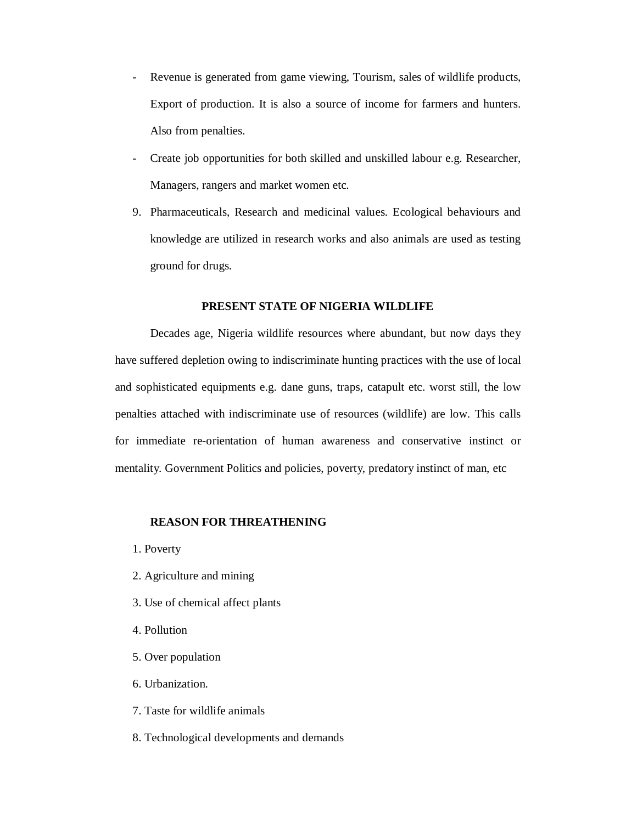- Revenue is generated from game viewing, Tourism, sales of wildlife products, Export of production. It is also a source of income for farmers and hunters. Also from penalties.
- Create job opportunities for both skilled and unskilled labour e.g. Researcher, Managers, rangers and market women etc.
- 9. Pharmaceuticals, Research and medicinal values. Ecological behaviours and knowledge are utilized in research works and also animals are used as testing ground for drugs.

# **PRESENT STATE OF NIGERIA WILDLIFE**

Decades age, Nigeria wildlife resources where abundant, but now days they have suffered depletion owing to indiscriminate hunting practices with the use of local and sophisticated equipments e.g. dane guns, traps, catapult etc. worst still, the low penalties attached with indiscriminate use of resources (wildlife) are low. This calls for immediate re-orientation of human awareness and conservative instinct or mentality. Government Politics and policies, poverty, predatory instinct of man, etc

#### **REASON FOR THREATHENING**

1. Poverty

- 2. Agriculture and mining
- 3. Use of chemical affect plants
- 4. Pollution
- 5. Over population
- 6. Urbanization.
- 7. Taste for wildlife animals
- 8. Technological developments and demands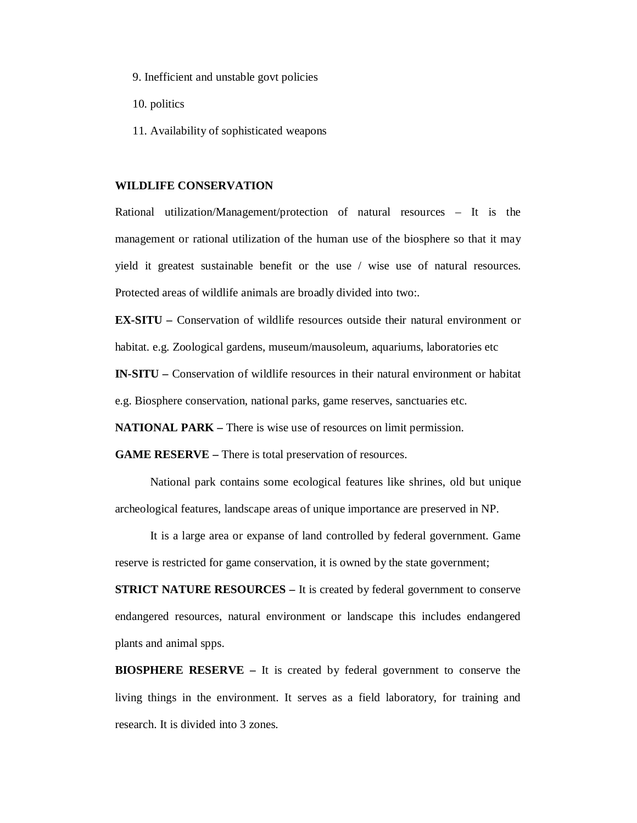- 9. Inefficient and unstable govt policies
- 10. politics
- 11. Availability of sophisticated weapons

#### **WILDLIFE CONSERVATION**

Rational utilization/Management/protection of natural resources – It is the management or rational utilization of the human use of the biosphere so that it may yield it greatest sustainable benefit or the use / wise use of natural resources. Protected areas of wildlife animals are broadly divided into two:.

**EX-SITU –** Conservation of wildlife resources outside their natural environment or habitat. e.g. Zoological gardens, museum/mausoleum, aquariums, laboratories etc

**IN-SITU –** Conservation of wildlife resources in their natural environment or habitat

e.g. Biosphere conservation, national parks, game reserves, sanctuaries etc.

**NATIONAL PARK** – There is wise use of resources on limit permission.

**GAME RESERVE** – There is total preservation of resources.

National park contains some ecological features like shrines, old but unique archeological features, landscape areas of unique importance are preserved in NP.

It is a large area or expanse of land controlled by federal government. Game reserve is restricted for game conservation, it is owned by the state government;

**STRICT NATURE RESOURCES – It is created by federal government to conserve** endangered resources, natural environment or landscape this includes endangered plants and animal spps.

**BIOSPHERE RESERVE –** It is created by federal government to conserve the living things in the environment. It serves as a field laboratory, for training and research. It is divided into 3 zones.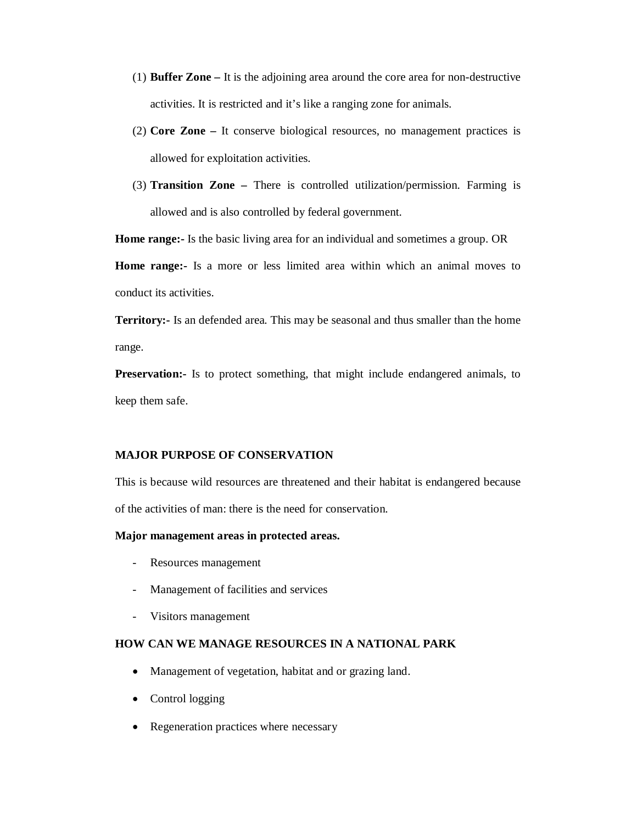- (1) **Buffer Zone –** It is the adjoining area around the core area for non-destructive activities. It is restricted and it's like a ranging zone for animals.
- (2) **Core Zone –** It conserve biological resources, no management practices is allowed for exploitation activities.
- (3) **Transition Zone –** There is controlled utilization/permission. Farming is allowed and is also controlled by federal government.

**Home range:-** Is the basic living area for an individual and sometimes a group. OR

**Home range:-** Is a more or less limited area within which an animal moves to conduct its activities.

**Territory:-** Is an defended area. This may be seasonal and thus smaller than the home range.

**Preservation:-** Is to protect something, that might include endangered animals, to keep them safe.

### **MAJOR PURPOSE OF CONSERVATION**

This is because wild resources are threatened and their habitat is endangered because of the activities of man: there is the need for conservation.

#### **Major management areas in protected areas.**

- Resources management
- Management of facilities and services
- Visitors management

# **HOW CAN WE MANAGE RESOURCES IN A NATIONAL PARK**

- Management of vegetation, habitat and or grazing land.
- Control logging
- Regeneration practices where necessary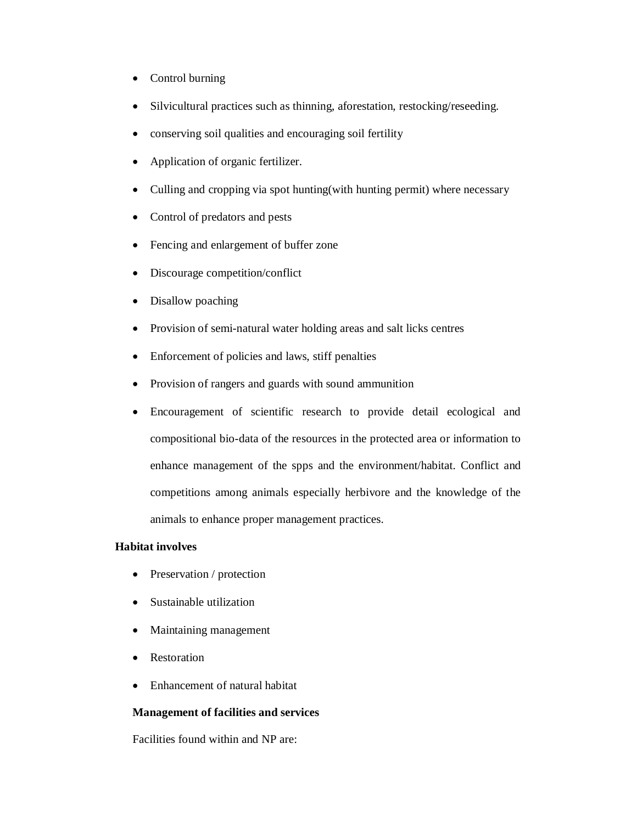- Control burning
- Silvicultural practices such as thinning, aforestation, restocking/reseeding.
- conserving soil qualities and encouraging soil fertility
- Application of organic fertilizer.
- Culling and cropping via spot hunting(with hunting permit) where necessary
- Control of predators and pests
- Fencing and enlargement of buffer zone
- Discourage competition/conflict
- Disallow poaching
- Provision of semi-natural water holding areas and salt licks centres
- Enforcement of policies and laws, stiff penalties
- Provision of rangers and guards with sound ammunition
- Encouragement of scientific research to provide detail ecological and compositional bio-data of the resources in the protected area or information to enhance management of the spps and the environment/habitat. Conflict and competitions among animals especially herbivore and the knowledge of the animals to enhance proper management practices.

# **Habitat involves**

- Preservation / protection
- Sustainable utilization
- Maintaining management
- Restoration
- Enhancement of natural habitat

# **Management of facilities and services**

Facilities found within and NP are: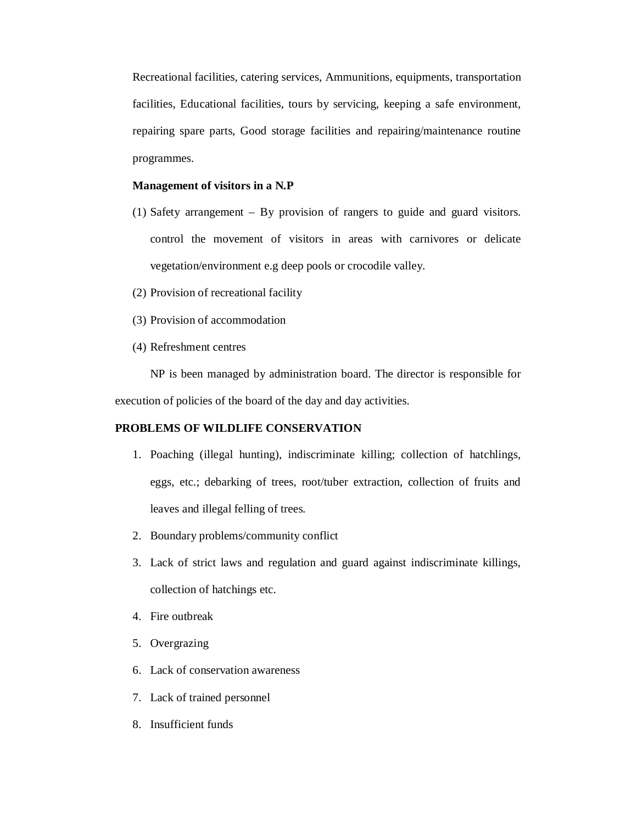Recreational facilities, catering services, Ammunitions, equipments, transportation facilities, Educational facilities, tours by servicing, keeping a safe environment, repairing spare parts, Good storage facilities and repairing/maintenance routine programmes.

# **Management of visitors in a N.P**

- (1) Safety arrangement By provision of rangers to guide and guard visitors. control the movement of visitors in areas with carnivores or delicate vegetation/environment e.g deep pools or crocodile valley.
- (2) Provision of recreational facility
- (3) Provision of accommodation
- (4) Refreshment centres

NP is been managed by administration board. The director is responsible for execution of policies of the board of the day and day activities.

# **PROBLEMS OF WILDLIFE CONSERVATION**

- 1. Poaching (illegal hunting), indiscriminate killing; collection of hatchlings, eggs, etc.; debarking of trees, root/tuber extraction, collection of fruits and leaves and illegal felling of trees.
- 2. Boundary problems/community conflict
- 3. Lack of strict laws and regulation and guard against indiscriminate killings, collection of hatchings etc.
- 4. Fire outbreak
- 5. Overgrazing
- 6. Lack of conservation awareness
- 7. Lack of trained personnel
- 8. Insufficient funds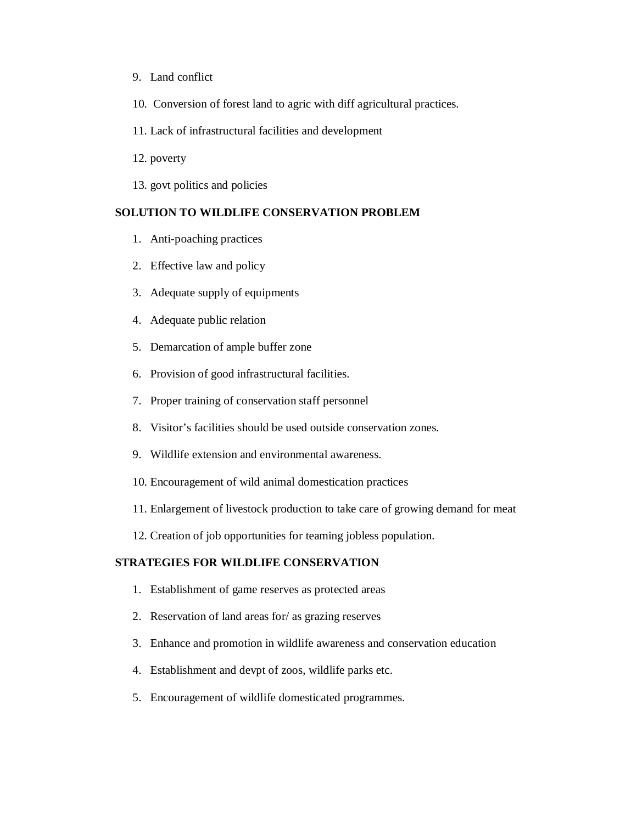- 9. Land conflict
- 10. Conversion of forest land to agric with diff agricultural practices.
- 11. Lack of infrastructural facilities and development
- 12. poverty
- 13. govt politics and policies

# **SOLUTION TO WILDLIFE CONSERVATION PROBLEM**

- 1. Anti-poaching practices
- 2. Effective law and policy
- 3. Adequate supply of equipments
- 4. Adequate public relation
- 5. Demarcation of ample buffer zone
- 6. Provision of good infrastructural facilities.
- 7. Proper training of conservation staff personnel
- 8. Visitor's facilities should be used outside conservation zones.
- 9. Wildlife extension and environmental awareness.
- 10. Encouragement of wild animal domestication practices
- 11. Enlargement of livestock production to take care of growing demand for meat
- 12. Creation of job opportunities for teaming jobless population.

# **STRATEGIES FOR WILDLIFE CONSERVATION**

- 1. Establishment of game reserves as protected areas
- 2. Reservation of land areas for/ as grazing reserves
- 3. Enhance and promotion in wildlife awareness and conservation education
- 4. Establishment and devpt of zoos, wildlife parks etc.
- 5. Encouragement of wildlife domesticated programmes.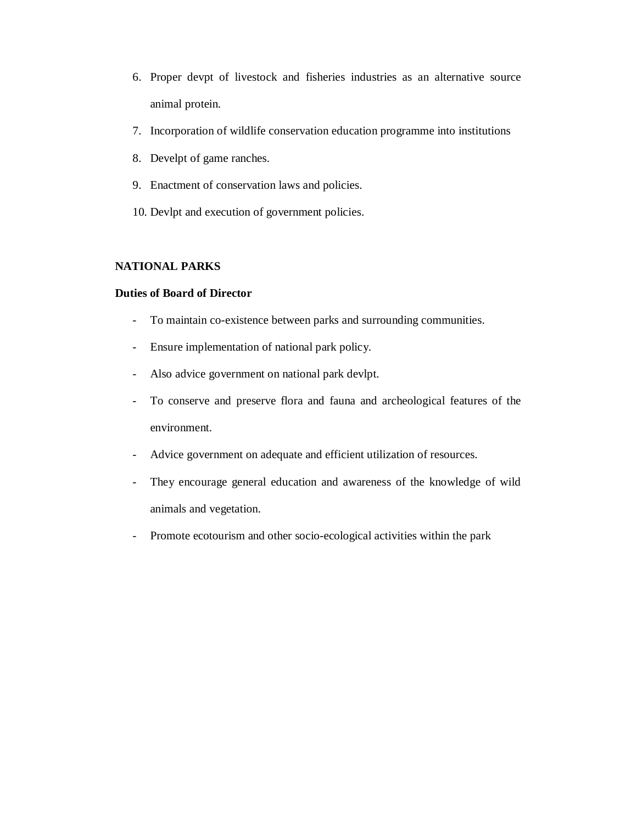- 6. Proper devpt of livestock and fisheries industries as an alternative source animal protein.
- 7. Incorporation of wildlife conservation education programme into institutions
- 8. Develpt of game ranches.
- 9. Enactment of conservation laws and policies.
- 10. Devlpt and execution of government policies.

### **NATIONAL PARKS**

# **Duties of Board of Director**

- To maintain co-existence between parks and surrounding communities.
- Ensure implementation of national park policy.
- Also advice government on national park devlpt.
- To conserve and preserve flora and fauna and archeological features of the environment.
- Advice government on adequate and efficient utilization of resources.
- They encourage general education and awareness of the knowledge of wild animals and vegetation.
- Promote ecotourism and other socio-ecological activities within the park